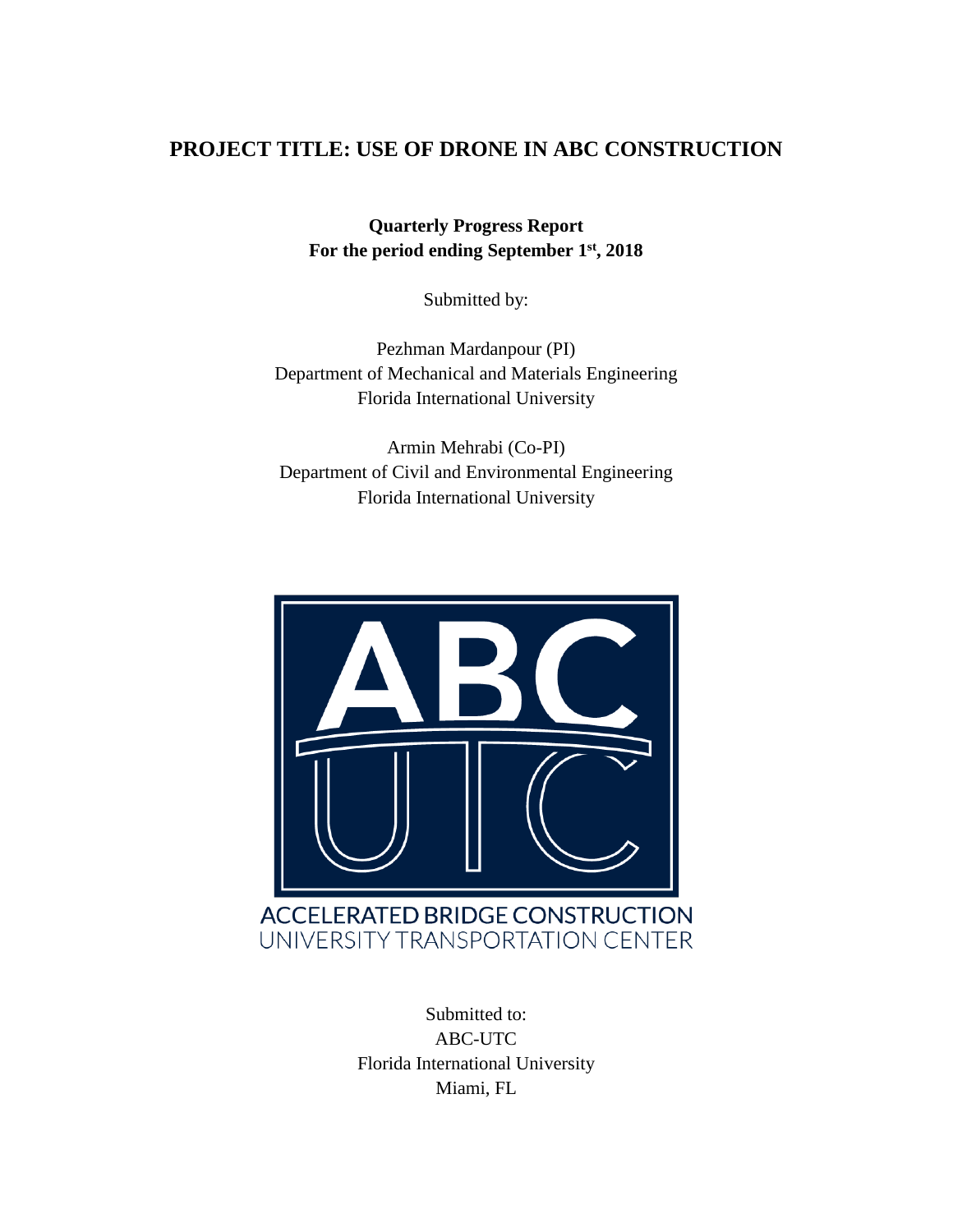### **PROJECT TITLE: USE OF DRONE IN ABC CONSTRUCTION**

**Quarterly Progress Report For the period ending September 1 st, 2018**

Submitted by:

Pezhman Mardanpour (PI) Department of Mechanical and Materials Engineering Florida International University

Armin Mehrabi (Co-PI) Department of Civil and Environmental Engineering Florida International University



Submitted to: ABC-UTC Florida International University Miami, FL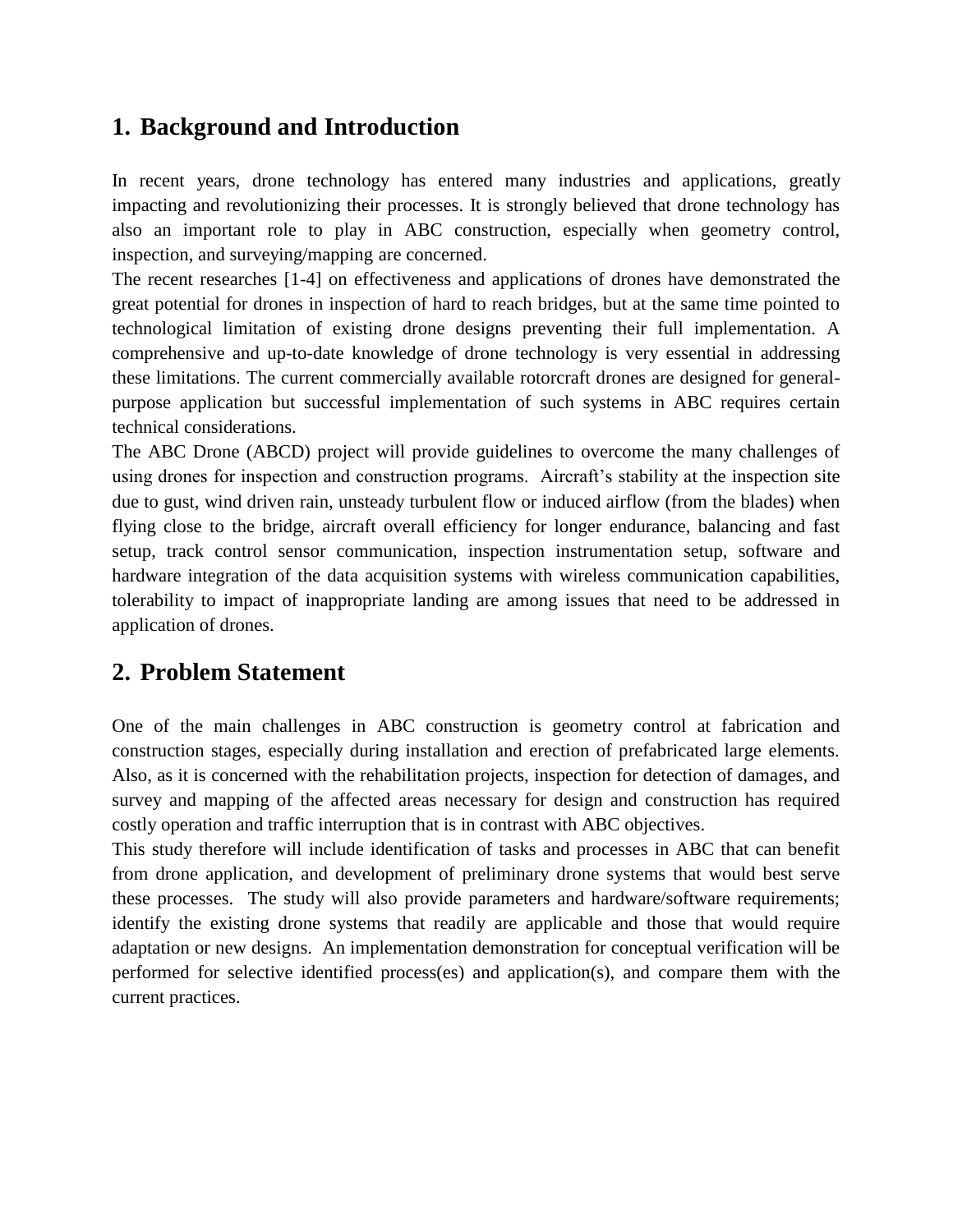## **1. Background and Introduction**

In recent years, drone technology has entered many industries and applications, greatly impacting and revolutionizing their processes. It is strongly believed that drone technology has also an important role to play in ABC construction, especially when geometry control, inspection, and surveying/mapping are concerned.

The recent researches [1-4] on effectiveness and applications of drones have demonstrated the great potential for drones in inspection of hard to reach bridges, but at the same time pointed to technological limitation of existing drone designs preventing their full implementation. A comprehensive and up-to-date knowledge of drone technology is very essential in addressing these limitations. The current commercially available rotorcraft drones are designed for generalpurpose application but successful implementation of such systems in ABC requires certain technical considerations.

The ABC Drone (ABCD) project will provide guidelines to overcome the many challenges of using drones for inspection and construction programs. Aircraft's stability at the inspection site due to gust, wind driven rain, unsteady turbulent flow or induced airflow (from the blades) when flying close to the bridge, aircraft overall efficiency for longer endurance, balancing and fast setup, track control sensor communication, inspection instrumentation setup, software and hardware integration of the data acquisition systems with wireless communication capabilities, tolerability to impact of inappropriate landing are among issues that need to be addressed in application of drones.

## **2. Problem Statement**

One of the main challenges in ABC construction is geometry control at fabrication and construction stages, especially during installation and erection of prefabricated large elements. Also, as it is concerned with the rehabilitation projects, inspection for detection of damages, and survey and mapping of the affected areas necessary for design and construction has required costly operation and traffic interruption that is in contrast with ABC objectives.

This study therefore will include identification of tasks and processes in ABC that can benefit from drone application, and development of preliminary drone systems that would best serve these processes. The study will also provide parameters and hardware/software requirements; identify the existing drone systems that readily are applicable and those that would require adaptation or new designs. An implementation demonstration for conceptual verification will be performed for selective identified process(es) and application(s), and compare them with the current practices.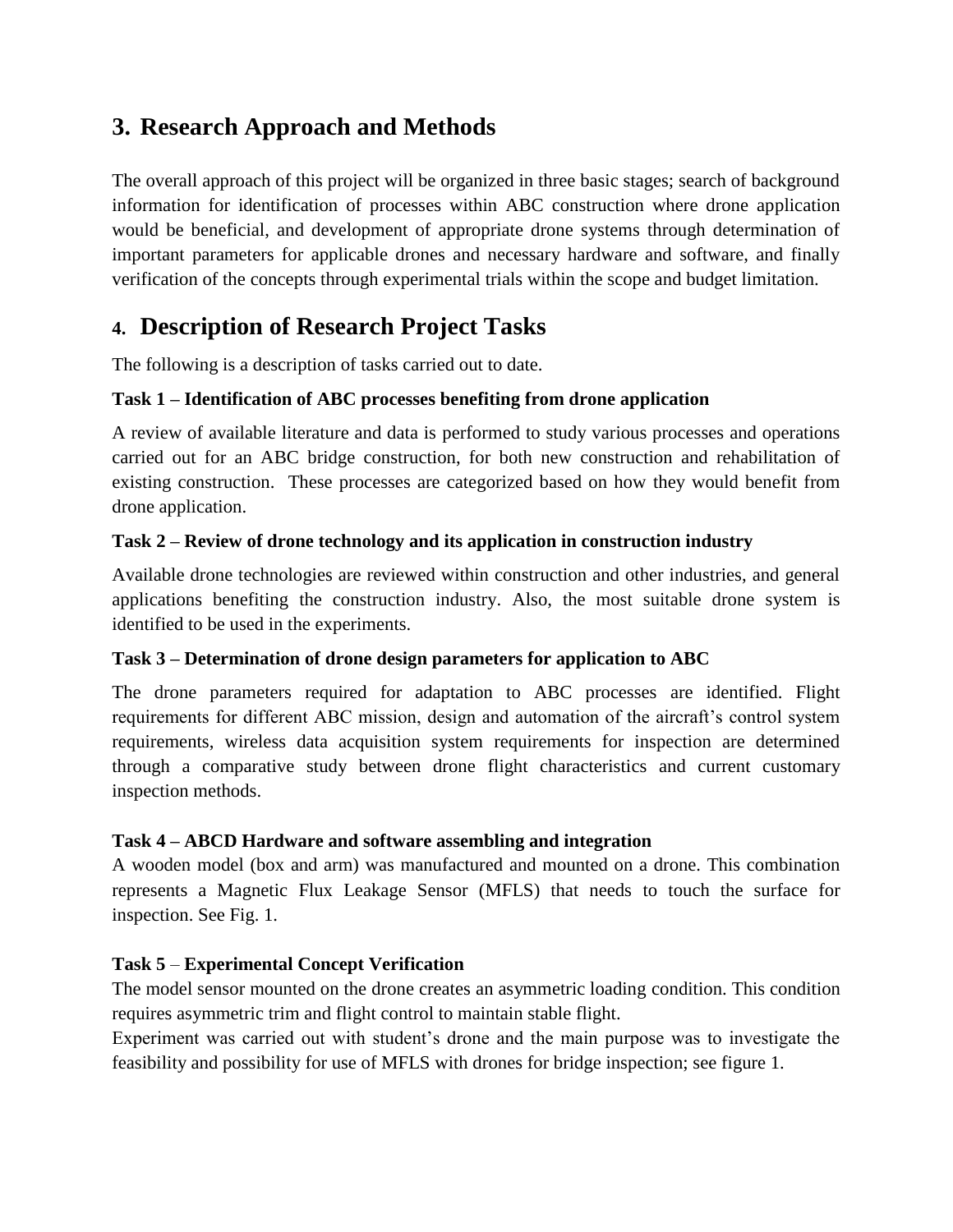# **3. Research Approach and Methods**

The overall approach of this project will be organized in three basic stages; search of background information for identification of processes within ABC construction where drone application would be beneficial, and development of appropriate drone systems through determination of important parameters for applicable drones and necessary hardware and software, and finally verification of the concepts through experimental trials within the scope and budget limitation.

# **4. Description of Research Project Tasks**

The following is a description of tasks carried out to date.

### **Task 1 – Identification of ABC processes benefiting from drone application**

A review of available literature and data is performed to study various processes and operations carried out for an ABC bridge construction, for both new construction and rehabilitation of existing construction. These processes are categorized based on how they would benefit from drone application.

#### **Task 2 – Review of drone technology and its application in construction industry**

Available drone technologies are reviewed within construction and other industries, and general applications benefiting the construction industry. Also, the most suitable drone system is identified to be used in the experiments.

#### **Task 3 – Determination of drone design parameters for application to ABC**

The drone parameters required for adaptation to ABC processes are identified. Flight requirements for different ABC mission, design and automation of the aircraft's control system requirements, wireless data acquisition system requirements for inspection are determined through a comparative study between drone flight characteristics and current customary inspection methods.

#### **Task 4 – ABCD Hardware and software assembling and integration**

A wooden model (box and arm) was manufactured and mounted on a drone. This combination represents a Magnetic Flux Leakage Sensor (MFLS) that needs to touch the surface for inspection. See Fig. 1.

### **Task 5** – **Experimental Concept Verification**

The model sensor mounted on the drone creates an asymmetric loading condition. This condition requires asymmetric trim and flight control to maintain stable flight.

Experiment was carried out with student's drone and the main purpose was to investigate the feasibility and possibility for use of MFLS with drones for bridge inspection; see figure 1.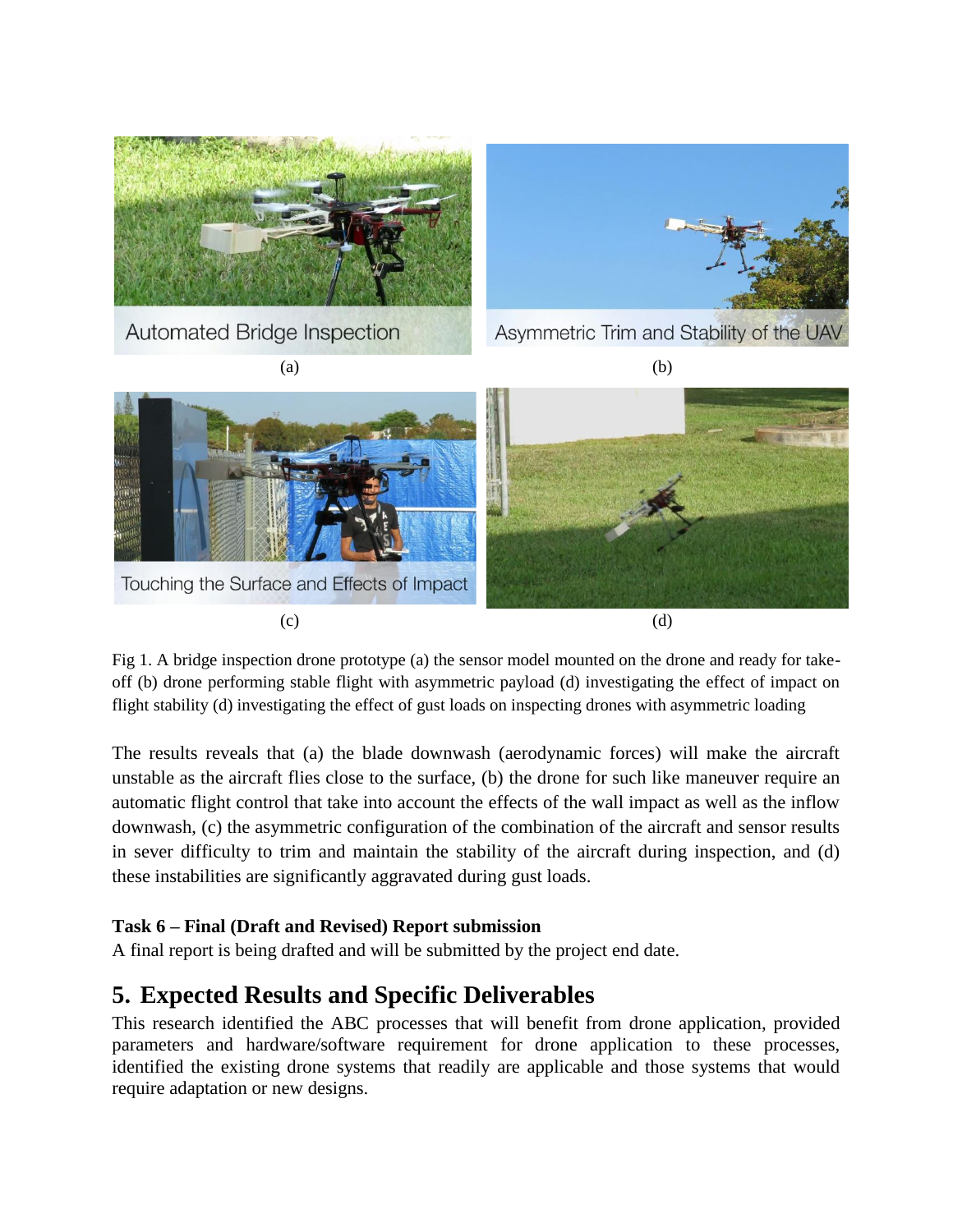

Fig 1. A bridge inspection drone prototype (a) the sensor model mounted on the drone and ready for takeoff (b) drone performing stable flight with asymmetric payload (d) investigating the effect of impact on flight stability (d) investigating the effect of gust loads on inspecting drones with asymmetric loading

The results reveals that (a) the blade downwash (aerodynamic forces) will make the aircraft unstable as the aircraft flies close to the surface, (b) the drone for such like maneuver require an automatic flight control that take into account the effects of the wall impact as well as the inflow downwash, (c) the asymmetric configuration of the combination of the aircraft and sensor results in sever difficulty to trim and maintain the stability of the aircraft during inspection, and (d) these instabilities are significantly aggravated during gust loads.

#### **Task 6 – Final (Draft and Revised) Report submission**

A final report is being drafted and will be submitted by the project end date.

## **5. Expected Results and Specific Deliverables**

This research identified the ABC processes that will benefit from drone application, provided parameters and hardware/software requirement for drone application to these processes, identified the existing drone systems that readily are applicable and those systems that would require adaptation or new designs.